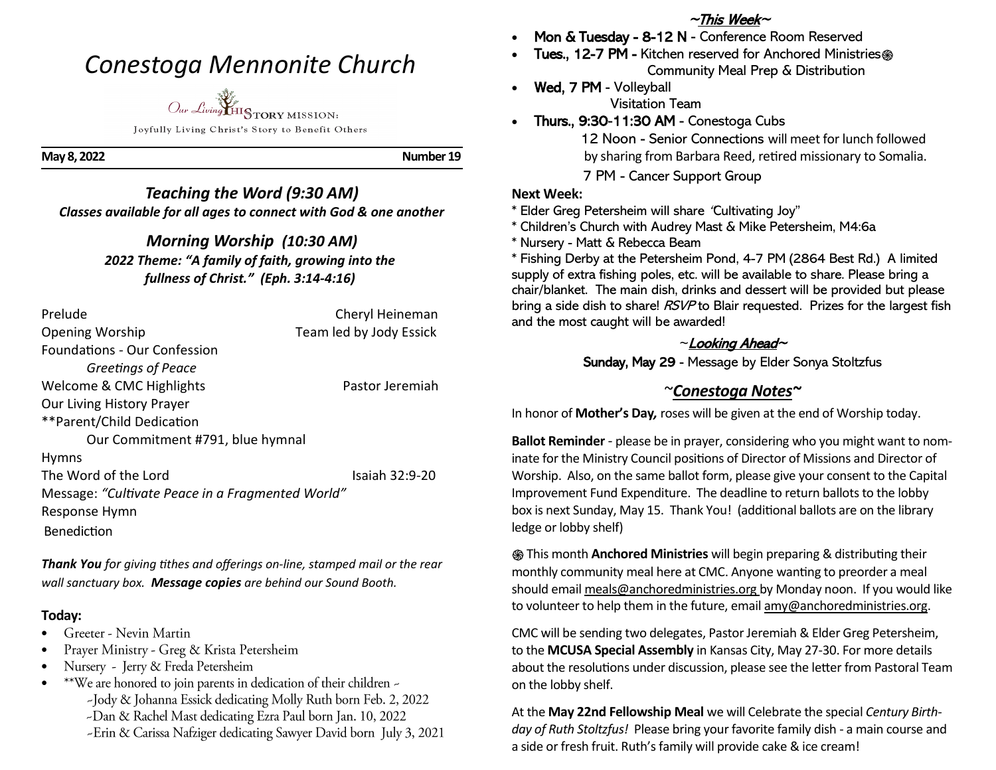# *Conestoga Mennonite Church*



Joyfully Living Christ's Story to Benefit Others

**May 8, 2022 Number 19**

## *Teaching the Word (9:30 AM) Classes available for all ages to connect with God & one another*

## *Morning Worship (10:30 AM) 2022 Theme: "A family of faith, growing into the fullness of Christ." (Eph. 3:14-4:16)*

| Prelude                                          | Cheryl Heineman         |
|--------------------------------------------------|-------------------------|
| <b>Opening Worship</b>                           | Team led by Jody Essick |
| <b>Foundations - Our Confession</b>              |                         |
| <b>Greetings of Peace</b>                        |                         |
| Welcome & CMC Highlights                         | Pastor Jeremiah         |
| Our Living History Prayer                        |                         |
| **Parent/Child Dedication                        |                         |
| Our Commitment #791, blue hymnal                 |                         |
| <b>Hymns</b>                                     |                         |
| The Word of the Lord                             | Isaiah 32:9-20          |
| Message: "Cultivate Peace in a Fragmented World" |                         |
| Response Hymn                                    |                         |
| Benediction                                      |                         |
|                                                  |                         |

*Thank You for giving tithes and offerings on-line, stamped mail or the rear wall sanctuary box. Message copies are behind our Sound Booth.*

#### **Today:**

- Greeter Nevin Martin •
- Prayer Ministry - Greg & Krista Petersheim
- Nursery Jerry & Freda Petersheim •
- \*\*We are honored to join parents in dedication of their children -• -Jody & Johanna Essick dedicating Molly Ruth born Feb. 2, 2022 -Dan & Rachel Mast dedicating Ezra Paul born Jan. 10, 2022 -Erin & Carissa Nafziger dedicating Sawyer David born July 3, 2021

# $~\sim$ This Week $\sim$

- Mon & Tuesday 8-12 N Conference Room Reserved
- Tues., 12-7 PM Kitchen reserved for Anchored Ministries֍ Community Meal Prep & Distribution
- Wed, 7 PM Volleyball Visitation Team
- Thurs., 9:30-11:30 AM Conestoga Cubs

 12 Noon - Senior Connections will meet for lunch followed by sharing from Barbara Reed, retired missionary to Somalia. 7 PM - Cancer Support Group

#### **Next Week:**

```
* Elder Greg Petersheim will share "Cultivating Joy"
```
- \* Children's Church with Audrey Mast & Mike Petersheim, M4:6a
- \* Nursery Matt & Rebecca Beam

\* Fishing Derby at the Petersheim Pond, 4-7 PM (2864 Best Rd.) A limited supply of extra fishing poles, etc. will be available to share. Please bring a chair/blanket. The main dish, drinks and dessert will be provided but please bring a side dish to share! RSVP to Blair requested. Prizes for the largest fish and the most caught will be awarded!

#### $\sim$ Looking Ahead $\sim$

Sunday, May 29 - Message by Elder Sonya Stoltzfus

# ~*Conestoga Notes~*

In honor of **Mother's Day***,* roses will be given at the end of Worship today.

**Ballot Reminder** - please be in prayer, considering who you might want to nominate for the Ministry Council positions of Director of Missions and Director of Worship. Also, on the same ballot form, please give your consent to the Capital Improvement Fund Expenditure. The deadline to return ballots to the lobby box is next Sunday, May 15. Thank You! (additional ballots are on the library ledge or lobby shelf)

֍ This month **Anchored Ministries** will begin preparing & distributing their monthly community meal here at CMC. Anyone wanting to preorder a meal should email meals@anchoredministries.org by Monday noon. If you would like to volunteer to help them in the future, email amy@anchoredministries.org.

CMC will be sending two delegates, Pastor Jeremiah & Elder Greg Petersheim, to the **MCUSA Special Assembly** in Kansas City, May 27-30. For more details about the resolutions under discussion, please see the letter from Pastoral Team on the lobby shelf.

At the **May 22nd Fellowship Meal** we will Celebrate the special *Century Birthday of Ruth Stoltzfus!* Please bring your favorite family dish - a main course and a side or fresh fruit. Ruth's family will provide cake & ice cream!